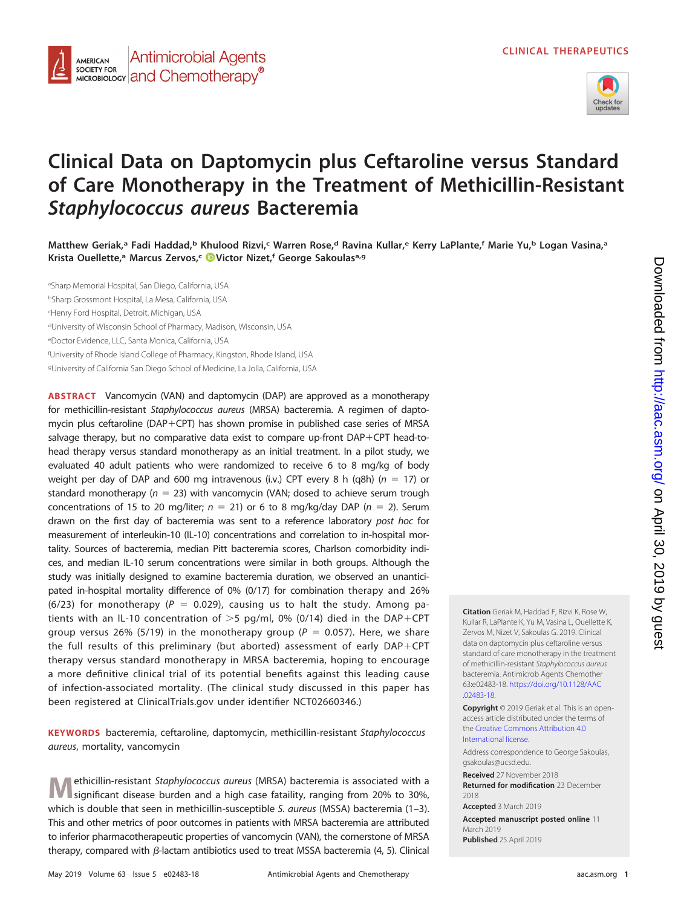

# **Clinical Data on Daptomycin plus Ceftaroline versus Standard of Care Monotherapy in the Treatment of Methicillin-Resistant Staphylococcus aureus Bacteremia**

**Matthew Geriak,a Fadi Haddad,b Khulood Rizvi,c Warren Rose,d Ravina Kullar,e Kerry LaPlante,f Marie Yu,b Logan Vasina,a Krista Ouellette,a Marcus Zervos,c [Victor Nizet,](https://orcid.org/0000-0003-3847-0422)f George Sakoulasa,g**

a Sharp Memorial Hospital, San Diego, California, USA <sup>b</sup>Sharp Grossmont Hospital, La Mesa, California, USA c Henry Ford Hospital, Detroit, Michigan, USA <sup>d</sup>University of Wisconsin School of Pharmacy, Madison, Wisconsin, USA <sup>e</sup>Doctor Evidence, LLC, Santa Monica, California, USA f University of Rhode Island College of Pharmacy, Kingston, Rhode Island, USA <sup>g</sup>University of California San Diego School of Medicine, La Jolla, California, USA

**Antimicrobial Agents** 

MICROBIOLOGY **and Chemotherapy**<sup>®</sup>

**AMERICAN SOCIETY FOR** 

**ABSTRACT** Vancomycin (VAN) and daptomycin (DAP) are approved as a monotherapy for methicillin-resistant Staphylococcus aureus (MRSA) bacteremia. A regimen of daptomycin plus ceftaroline (DAP-CPT) has shown promise in published case series of MRSA salvage therapy, but no comparative data exist to compare up-front DAP-CPT head-tohead therapy versus standard monotherapy as an initial treatment. In a pilot study, we evaluated 40 adult patients who were randomized to receive 6 to 8 mg/kg of body weight per day of DAP and 600 mg intravenous (i.v.) CPT every 8 h (q8h) ( $n = 17$ ) or standard monotherapy ( $n = 23$ ) with vancomycin (VAN; dosed to achieve serum trough concentrations of 15 to 20 mg/liter;  $n = 21$ ) or 6 to 8 mg/kg/day DAP ( $n = 2$ ). Serum drawn on the first day of bacteremia was sent to a reference laboratory post hoc for measurement of interleukin-10 (IL-10) concentrations and correlation to in-hospital mortality. Sources of bacteremia, median Pitt bacteremia scores, Charlson comorbidity indices, and median IL-10 serum concentrations were similar in both groups. Although the study was initially designed to examine bacteremia duration, we observed an unanticipated in-hospital mortality difference of 0% (0/17) for combination therapy and 26% (6/23) for monotherapy ( $P = 0.029$ ), causing us to halt the study. Among patients with an IL-10 concentration of  $>$ 5 pg/ml, 0% (0/14) died in the DAP+CPT group versus 26% (5/19) in the monotherapy group ( $P = 0.057$ ). Here, we share the full results of this preliminary (but aborted) assessment of early DAP-CPT therapy versus standard monotherapy in MRSA bacteremia, hoping to encourage a more definitive clinical trial of its potential benefits against this leading cause of infection-associated mortality. (The clinical study discussed in this paper has been registered at ClinicalTrials.gov under identifier NCT02660346.)

**KEYWORDS** bacteremia, ceftaroline, daptomycin, methicillin-resistant Staphylococcus aureus, mortality, vancomycin

**M**ethicillin-resistant Staphylococcus aureus (MRSA) bacteremia is associated with a significant disease burden and a high case fataility, ranging from 20% to 30%, which is double that seen in methicillin-susceptible S. aureus (MSSA) bacteremia  $(1-3)$  $(1-3)$  $(1-3)$ . This and other metrics of poor outcomes in patients with MRSA bacteremia are attributed to inferior pharmacotherapeutic properties of vancomycin (VAN), the cornerstone of MRSA therapy, compared with  $\beta$ -lactam antibiotics used to treat MSSA bacteremia [\(4,](#page-8-3) [5\)](#page-8-4). Clinical

Kullar R, LaPlante K, Yu M, Vasina L, Ouellette K, Zervos M, Nizet V, Sakoulas G. 2019. Clinical data on daptomycin plus ceftaroline versus standard of care monotherapy in the treatment of methicillin-resistant Staphylococcus aureus bacteremia. Antimicrob Agents Chemother 63:e02483-18. [https://doi.org/10.1128/AAC](https://doi.org/10.1128/AAC.02483-18) [.02483-18.](https://doi.org/10.1128/AAC.02483-18)

**Citation** Geriak M, Haddad F, Rizvi K, Rose W,

**Copyright** © 2019 Geriak et al. This is an openaccess article distributed under the terms of the [Creative Commons Attribution 4.0](https://creativecommons.org/licenses/by/4.0/) [International](https://creativecommons.org/licenses/by/4.0/) license.

Address correspondence to George Sakoulas, [gsakoulas@ucsd.edu.](mailto:gsakoulas@ucsd.edu)

**Received** 27 November 2018 **Returned for modification** 23 December

2018

**Accepted** 3 March 2019

**Accepted manuscript posted online** 11 March 2019 **Published** 25 April 2019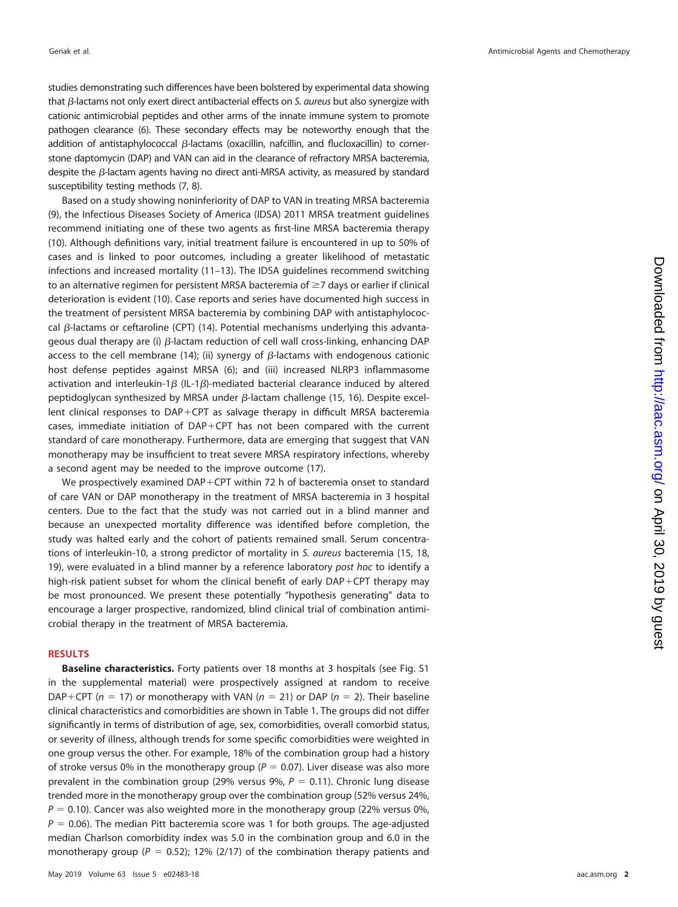studies demonstrating such differences have been bolstered by experimental data showing that  $\beta$ -lactams not only exert direct antibacterial effects on S. aureus but also synergize with cationic antimicrobial peptides and other arms of the innate immune system to promote pathogen clearance [\(6\)](#page-8-5). These secondary effects may be noteworthy enough that the addition of antistaphylococcal  $\beta$ -lactams (oxacillin, nafcillin, and flucloxacillin) to cornerstone daptomycin (DAP) and VAN can aid in the clearance of refractory MRSA bacteremia, despite the  $\beta$ -lactam agents having no direct anti-MRSA activity, as measured by standard susceptibility testing methods [\(7,](#page-8-6) [8\)](#page-8-7).

Based on a study showing noninferiority of DAP to VAN in treating MRSA bacteremia [\(9\)](#page-8-8), the Infectious Diseases Society of America (IDSA) 2011 MRSA treatment guidelines recommend initiating one of these two agents as first-line MRSA bacteremia therapy [\(10\)](#page-8-9). Although definitions vary, initial treatment failure is encountered in up to 50% of cases and is linked to poor outcomes, including a greater likelihood of metastatic infections and increased mortality [\(11](#page-8-10)[–](#page-8-11)[13\)](#page-8-12). The IDSA guidelines recommend switching to an alternative regimen for persistent MRSA bacteremia of  $\geq$ 7 days or earlier if clinical deterioration is evident [\(10\)](#page-8-9). Case reports and series have documented high success in the treatment of persistent MRSA bacteremia by combining DAP with antistaphylococcal  $\beta$ -lactams or ceftaroline (CPT) [\(14\)](#page-8-13). Potential mechanisms underlying this advantageous dual therapy are (i)  $\beta$ -lactam reduction of cell wall cross-linking, enhancing DAP access to the cell membrane [\(14\)](#page-8-13); (ii) synergy of  $\beta$ -lactams with endogenous cationic host defense peptides against MRSA [\(6\)](#page-8-5); and (iii) increased NLRP3 inflammasome activation and interleukin-1 $\beta$  (IL-1 $\beta$ )-mediated bacterial clearance induced by altered peptidoglycan synthesized by MRSA under  $\beta$ -lactam challenge [\(15,](#page-8-14) [16\)](#page-8-15). Despite excellent clinical responses to DAP-CPT as salvage therapy in difficult MRSA bacteremia cases, immediate initiation of DAP-CPT has not been compared with the current standard of care monotherapy. Furthermore, data are emerging that suggest that VAN monotherapy may be insufficient to treat severe MRSA respiratory infections, whereby a second agent may be needed to the improve outcome [\(17\)](#page-8-16).

We prospectively examined DAP+CPT within 72 h of bacteremia onset to standard of care VAN or DAP monotherapy in the treatment of MRSA bacteremia in 3 hospital centers. Due to the fact that the study was not carried out in a blind manner and because an unexpected mortality difference was identified before completion, the study was halted early and the cohort of patients remained small. Serum concentrations of interleukin-10, a strong predictor of mortality in S. aureus bacteremia [\(15,](#page-8-14) [18,](#page-8-17) [19\)](#page-8-18), were evaluated in a blind manner by a reference laboratory post hoc to identify a high-risk patient subset for whom the clinical benefit of early DAP-CPT therapy may be most pronounced. We present these potentially "hypothesis generating" data to encourage a larger prospective, randomized, blind clinical trial of combination antimicrobial therapy in the treatment of MRSA bacteremia.

# **RESULTS**

**Baseline characteristics.** Forty patients over 18 months at 3 hospitals (see Fig. S1 in the supplemental material) were prospectively assigned at random to receive DAP+CPT ( $n = 17$ ) or monotherapy with VAN ( $n = 21$ ) or DAP ( $n = 2$ ). Their baseline clinical characteristics and comorbidities are shown in [Table 1.](#page-2-0) The groups did not differ significantly in terms of distribution of age, sex, comorbidities, overall comorbid status, or severity of illness, although trends for some specific comorbidities were weighted in one group versus the other. For example, 18% of the combination group had a history of stroke versus 0% in the monotherapy group ( $P = 0.07$ ). Liver disease was also more prevalent in the combination group (29% versus 9%,  $P = 0.11$ ). Chronic lung disease trended more in the monotherapy group over the combination group (52% versus 24%,  $P = 0.10$ ). Cancer was also weighted more in the monotherapy group (22% versus 0%,  $P = 0.06$ ). The median Pitt bacteremia score was 1 for both groups. The age-adjusted median Charlson comorbidity index was 5.0 in the combination group and 6.0 in the monotherapy group ( $P = 0.52$ ); 12% (2/17) of the combination therapy patients and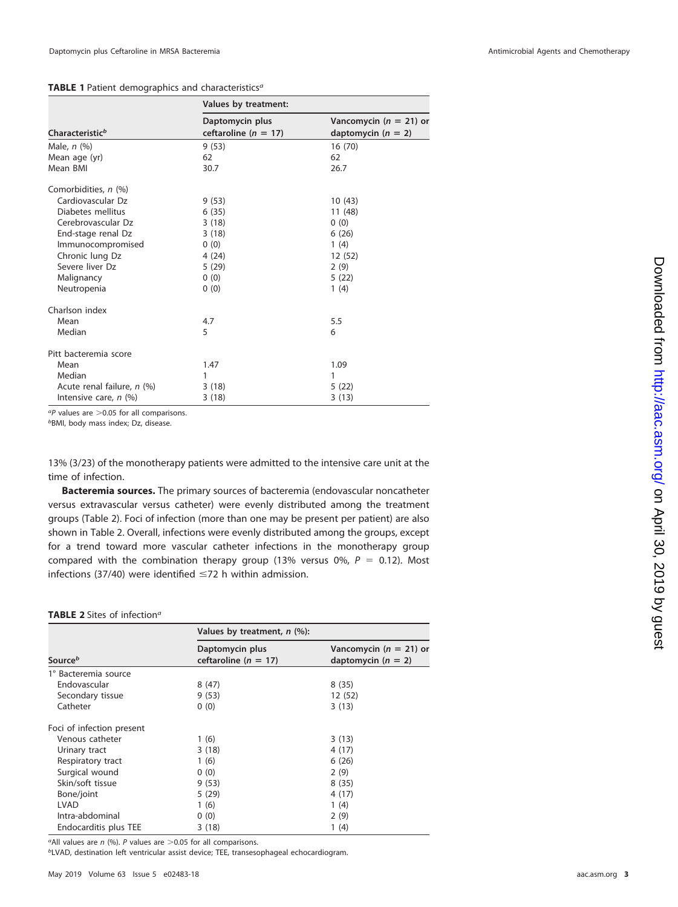## <span id="page-2-0"></span>TABLE 1 Patient demographics and characteristics<sup>a</sup>

|                             | Values by treatment:                        |                                                    |
|-----------------------------|---------------------------------------------|----------------------------------------------------|
| Characteristic <sup>b</sup> | Daptomycin plus<br>ceftaroline ( $n = 17$ ) | Vancomycin ( $n = 21$ ) or<br>daptomycin $(n = 2)$ |
| Male, $n$ $(\%)$            | 9(53)                                       | 16(70)                                             |
| Mean age (yr)               | 62                                          | 62                                                 |
| Mean BMI                    | 30.7                                        | 26.7                                               |
| Comorbidities, n (%)        |                                             |                                                    |
| Cardiovascular Dz           | 9(53)                                       | 10(43)                                             |
| Diabetes mellitus           | 6(35)                                       | 11 (48)                                            |
| Cerebrovascular Dz          | 3(18)                                       | 0(0)                                               |
| End-stage renal Dz          | 3(18)                                       | 6(26)                                              |
| Immunocompromised           | 0(0)                                        | 1(4)                                               |
| Chronic lung Dz             | 4 (24)                                      | 12(52)                                             |
| Severe liver Dz             | 5(29)                                       | 2(9)                                               |
| Malignancy                  | 0(0)                                        | 5(22)                                              |
| Neutropenia                 | 0(0)                                        | 1(4)                                               |
| Charlson index              |                                             |                                                    |
| Mean                        | 4.7                                         | 5.5                                                |
| Median                      | 5                                           | 6                                                  |
| Pitt bacteremia score       |                                             |                                                    |
| Mean                        | 1.47                                        | 1.09                                               |
| Median                      | 1                                           | 1                                                  |
| Acute renal failure, n (%)  | 3(18)                                       | 5(22)                                              |
| Intensive care, n (%)       | 3(18)                                       | 3(13)                                              |

<sup>a</sup>P values are  $>$  0.05 for all comparisons.

bBMI, body mass index; Dz, disease.

13% (3/23) of the monotherapy patients were admitted to the intensive care unit at the time of infection.

**Bacteremia sources.** The primary sources of bacteremia (endovascular noncatheter versus extravascular versus catheter) were evenly distributed among the treatment groups [\(Table 2\)](#page-2-1). Foci of infection (more than one may be present per patient) are also shown in [Table 2.](#page-2-1) Overall, infections were evenly distributed among the groups, except for a trend toward more vascular catheter infections in the monotherapy group compared with the combination therapy group (13% versus 0%,  $P = 0.12$ ). Most infections (37/40) were identified  $\leq$ 72 h within admission.

## <span id="page-2-1"></span>**TABLE 2** Sites of infection<sup>a</sup>

|                           | Values by treatment, $n$ (%):               |                                                    |
|---------------------------|---------------------------------------------|----------------------------------------------------|
| Source <sup>b</sup>       | Daptomycin plus<br>ceftaroline ( $n = 17$ ) | Vancomycin ( $n = 21$ ) or<br>daptomycin $(n = 2)$ |
| 1° Bacteremia source      |                                             |                                                    |
| Endovascular              | 8(47)                                       | 8(35)                                              |
| Secondary tissue          | 9(53)                                       | 12 (52)                                            |
| Catheter                  | 0(0)                                        | 3(13)                                              |
| Foci of infection present |                                             |                                                    |
| Venous catheter           | 1(6)                                        | 3(13)                                              |
| Urinary tract             | 3(18)                                       | 4 (17)                                             |
| Respiratory tract         | 1(6)                                        | 6(26)                                              |
| Surgical wound            | 0(0)                                        | 2(9)                                               |
| Skin/soft tissue          | 9(53)                                       | 8(35)                                              |
| Bone/joint                | 5(29)                                       | 4 (17)                                             |
| LVAD                      | 1(6)                                        | 1(4)                                               |
| Intra-abdominal           | 0(0)                                        | 2(9)                                               |
| Endocarditis plus TEE     | 3(18)                                       | 1 (4)                                              |

<sup>a</sup>All values are  $n$  (%). P values are  $>$ 0.05 for all comparisons.

bLVAD, destination left ventricular assist device; TEE, transesophageal echocardiogram.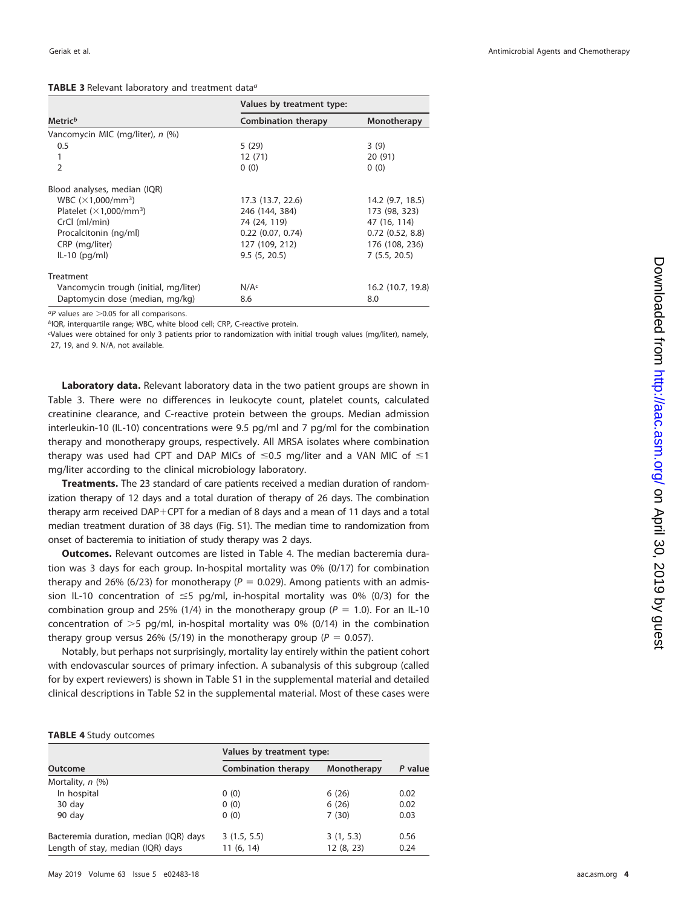### <span id="page-3-0"></span>TABLE 3 Relevant laboratory and treatment data<sup>a</sup>

|                                       | Values by treatment type:  |                      |  |
|---------------------------------------|----------------------------|----------------------|--|
| Metric <sup>b</sup>                   | <b>Combination therapy</b> | Monotherapy          |  |
| Vancomycin MIC (mg/liter), n (%)      |                            |                      |  |
| 0.5                                   | 5 (29)                     | 3(9)                 |  |
| 1                                     | 12(71)                     | 20 (91)              |  |
| $\overline{2}$                        | 0(0)                       | 0(0)                 |  |
| Blood analyses, median (IQR)          |                            |                      |  |
| WBC $(\times1,000/mm^3)$              | 17.3 (13.7, 22.6)          | 14.2 (9.7, 18.5)     |  |
| Platelet $(\times1,000/\text{mm}^3)$  | 246 (144, 384)             | 173 (98, 323)        |  |
| CrCl (ml/min)                         | 74 (24, 119)               | 47 (16, 114)         |  |
| Procalcitonin (ng/ml)                 | $0.22$ (0.07, 0.74)        | $0.72$ $(0.52, 8.8)$ |  |
| CRP (mg/liter)                        | 127 (109, 212)             | 176 (108, 236)       |  |
| $IL-10$ (pg/ml)                       | 9.5(5, 20.5)               | 7(5.5, 20.5)         |  |
| Treatment                             |                            |                      |  |
| Vancomycin trough (initial, mg/liter) | N/A <sup>c</sup>           | 16.2 (10.7, 19.8)    |  |
| Daptomycin dose (median, mg/kg)       | 8.6                        | 8.0                  |  |

 $^{a}P$  values are  $>$  0.05 for all comparisons.

 $b$ IQR, interquartile range; WBC, white blood cell; CRP, C-reactive protein.

c Values were obtained for only 3 patients prior to randomization with initial trough values (mg/liter), namely, 27, 19, and 9. N/A, not available.

**Laboratory data.** Relevant laboratory data in the two patient groups are shown in [Table 3.](#page-3-0) There were no differences in leukocyte count, platelet counts, calculated creatinine clearance, and C-reactive protein between the groups. Median admission interleukin-10 (IL-10) concentrations were 9.5 pg/ml and 7 pg/ml for the combination therapy and monotherapy groups, respectively. All MRSA isolates where combination therapy was used had CPT and DAP MICs of  $\leq$ 0.5 mg/liter and a VAN MIC of  $\leq$ 1 mg/liter according to the clinical microbiology laboratory.

**Treatments.** The 23 standard of care patients received a median duration of randomization therapy of 12 days and a total duration of therapy of 26 days. The combination therapy arm received DAP-CPT for a median of 8 days and a mean of 11 days and a total median treatment duration of 38 days (Fig. S1). The median time to randomization from onset of bacteremia to initiation of study therapy was 2 days.

**Outcomes.** Relevant outcomes are listed in [Table 4.](#page-3-1) The median bacteremia duration was 3 days for each group. In-hospital mortality was 0% (0/17) for combination therapy and 26% (6/23) for monotherapy ( $P = 0.029$ ). Among patients with an admission IL-10 concentration of  $\leq$ 5 pg/ml, in-hospital mortality was 0% (0/3) for the combination group and 25% (1/4) in the monotherapy group ( $P = 1.0$ ). For an IL-10 concentration of  $>5$  pg/ml, in-hospital mortality was 0% (0/14) in the combination therapy group versus 26% (5/19) in the monotherapy group ( $P = 0.057$ ).

Notably, but perhaps not surprisingly, mortality lay entirely within the patient cohort with endovascular sources of primary infection. A subanalysis of this subgroup (called for by expert reviewers) is shown in Table S1 in the supplemental material and detailed clinical descriptions in Table S2 in the supplemental material. Most of these cases were

#### <span id="page-3-1"></span>**TABLE 4** Study outcomes

|                                        | Values by treatment type:  |             |         |
|----------------------------------------|----------------------------|-------------|---------|
| Outcome                                | <b>Combination therapy</b> | Monotherapy | P value |
| Mortality, n (%)                       |                            |             |         |
| In hospital                            | 0(0)                       | 6(26)       | 0.02    |
| 30 day                                 | 0(0)                       | 6(26)       | 0.02    |
| 90 day                                 | 0(0)                       | 7(30)       | 0.03    |
| Bacteremia duration, median (IQR) days | 3(1.5, 5.5)                | 3(1, 5.3)   | 0.56    |
| Length of stay, median (IQR) days      | 11(6, 14)                  | 12(8, 23)   | 0.24    |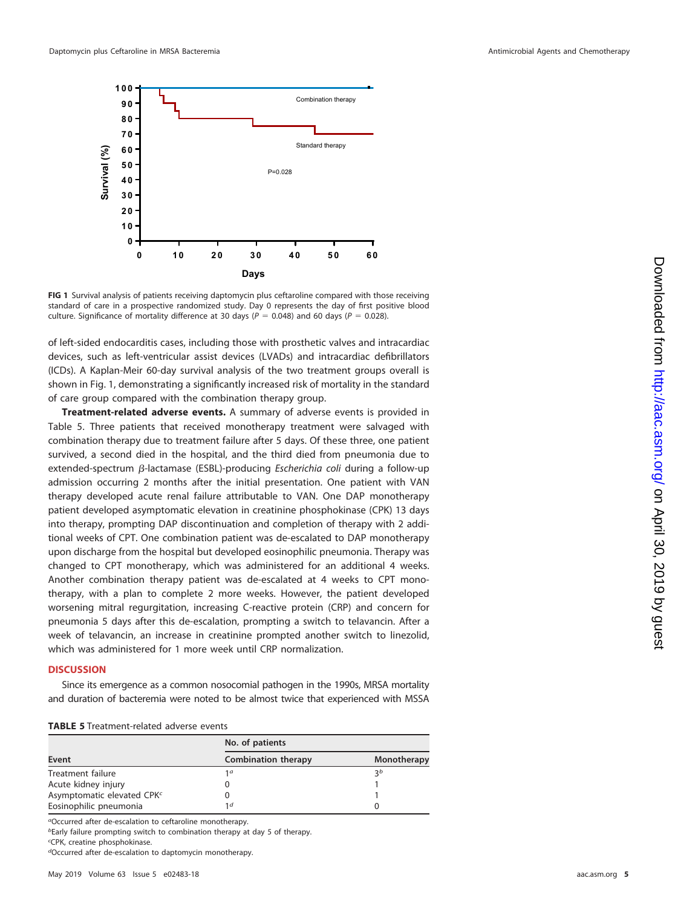

<span id="page-4-0"></span>**FIG 1** Survival analysis of patients receiving daptomycin plus ceftaroline compared with those receiving standard of care in a prospective randomized study. Day 0 represents the day of first positive blood culture. Significance of mortality difference at 30 days ( $P = 0.048$ ) and 60 days ( $P = 0.028$ ).

of left-sided endocarditis cases, including those with prosthetic valves and intracardiac devices, such as left-ventricular assist devices (LVADs) and intracardiac defibrillators (ICDs). A Kaplan-Meir 60-day survival analysis of the two treatment groups overall is shown in [Fig. 1,](#page-4-0) demonstrating a significantly increased risk of mortality in the standard of care group compared with the combination therapy group.

**Treatment-related adverse events.** A summary of adverse events is provided in [Table 5.](#page-4-1) Three patients that received monotherapy treatment were salvaged with combination therapy due to treatment failure after 5 days. Of these three, one patient survived, a second died in the hospital, and the third died from pneumonia due to extended-spectrum  $\beta$ -lactamase (ESBL)-producing Escherichia coli during a follow-up admission occurring 2 months after the initial presentation. One patient with VAN therapy developed acute renal failure attributable to VAN. One DAP monotherapy patient developed asymptomatic elevation in creatinine phosphokinase (CPK) 13 days into therapy, prompting DAP discontinuation and completion of therapy with 2 additional weeks of CPT. One combination patient was de-escalated to DAP monotherapy upon discharge from the hospital but developed eosinophilic pneumonia. Therapy was changed to CPT monotherapy, which was administered for an additional 4 weeks. Another combination therapy patient was de-escalated at 4 weeks to CPT monotherapy, with a plan to complete 2 more weeks. However, the patient developed worsening mitral regurgitation, increasing C-reactive protein (CRP) and concern for pneumonia 5 days after this de-escalation, prompting a switch to telavancin. After a week of telavancin, an increase in creatinine prompted another switch to linezolid, which was administered for 1 more week until CRP normalization.

# **DISCUSSION**

Since its emergence as a common nosocomial pathogen in the 1990s, MRSA mortality and duration of bacteremia were noted to be almost twice that experienced with MSSA

<span id="page-4-1"></span>

| <b>TABLE 5</b> Treatment-related adverse events |  |
|-------------------------------------------------|--|
|-------------------------------------------------|--|

|                                        | No. of patients            |                |
|----------------------------------------|----------------------------|----------------|
| Event                                  | <b>Combination therapy</b> | Monotherapy    |
| Treatment failure                      | 1 a                        | $\mathcal{R}b$ |
| Acute kidney injury                    |                            |                |
| Asymptomatic elevated CPK <sup>c</sup> |                            |                |
| Eosinophilic pneumonia                 | 1 d                        | O              |

<sup>a</sup>Occurred after de-escalation to ceftaroline monotherapy.

bEarly failure prompting switch to combination therapy at day 5 of therapy.

c CPK, creatine phosphokinase.

dOccurred after de-escalation to daptomycin monotherapy.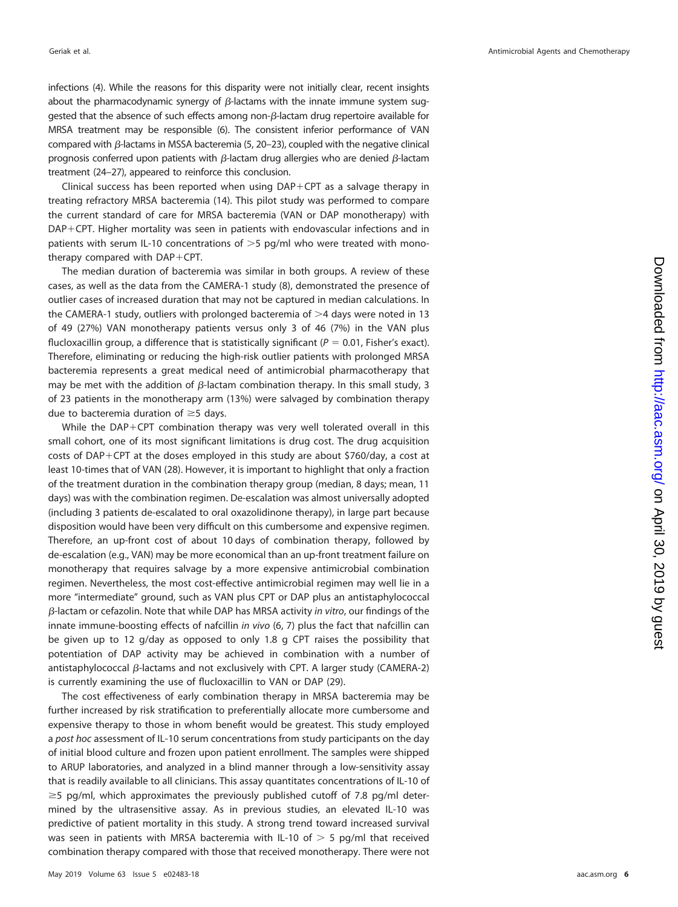infections [\(4\)](#page-8-3). While the reasons for this disparity were not initially clear, recent insights about the pharmacodynamic synergy of  $\beta$ -lactams with the innate immune system suggested that the absence of such effects among non- $\beta$ -lactam drug repertoire available for MRSA treatment may be responsible [\(6\)](#page-8-5). The consistent inferior performance of VAN compared with  $\beta$ -lactams in MSSA bacteremia [\(5,](#page-8-4) [20](#page-8-19)[–](#page-8-20)[23\)](#page-8-21), coupled with the negative clinical prognosis conferred upon patients with  $\beta$ -lactam drug allergies who are denied  $\beta$ -lactam treatment [\(24](#page-8-22)[–](#page-8-23)[27\)](#page-8-24), appeared to reinforce this conclusion.

Clinical success has been reported when using DAP-CPT as a salvage therapy in treating refractory MRSA bacteremia [\(14\)](#page-8-13). This pilot study was performed to compare the current standard of care for MRSA bacteremia (VAN or DAP monotherapy) with DAP-CPT. Higher mortality was seen in patients with endovascular infections and in patients with serum IL-10 concentrations of  $>5$  pg/ml who were treated with monotherapy compared with DAP-CPT.

The median duration of bacteremia was similar in both groups. A review of these cases, as well as the data from the CAMERA-1 study [\(8\)](#page-8-7), demonstrated the presence of outlier cases of increased duration that may not be captured in median calculations. In the CAMERA-1 study, outliers with prolonged bacteremia of  $>4$  days were noted in 13 of 49 (27%) VAN monotherapy patients versus only 3 of 46 (7%) in the VAN plus flucloxacillin group, a difference that is statistically significant ( $P = 0.01$ , Fisher's exact). Therefore, eliminating or reducing the high-risk outlier patients with prolonged MRSA bacteremia represents a great medical need of antimicrobial pharmacotherapy that may be met with the addition of  $\beta$ -lactam combination therapy. In this small study, 3 of 23 patients in the monotherapy arm (13%) were salvaged by combination therapy due to bacteremia duration of  $\geq$  5 days.

While the DAP-CPT combination therapy was very well tolerated overall in this small cohort, one of its most significant limitations is drug cost. The drug acquisition costs of DAP-CPT at the doses employed in this study are about \$760/day, a cost at least 10-times that of VAN [\(28\)](#page-9-0). However, it is important to highlight that only a fraction of the treatment duration in the combination therapy group (median, 8 days; mean, 11 days) was with the combination regimen. De-escalation was almost universally adopted (including 3 patients de-escalated to oral oxazolidinone therapy), in large part because disposition would have been very difficult on this cumbersome and expensive regimen. Therefore, an up-front cost of about 10 days of combination therapy, followed by de-escalation (e.g., VAN) may be more economical than an up-front treatment failure on monotherapy that requires salvage by a more expensive antimicrobial combination regimen. Nevertheless, the most cost-effective antimicrobial regimen may well lie in a more "intermediate" ground, such as VAN plus CPT or DAP plus an antistaphylococcal  $\beta$ -lactam or cefazolin. Note that while DAP has MRSA activity *in vitro,* our findings of the innate immune-boosting effects of nafcillin in vivo [\(6,](#page-8-5) [7\)](#page-8-6) plus the fact that nafcillin can be given up to 12 g/day as opposed to only 1.8 g CPT raises the possibility that potentiation of DAP activity may be achieved in combination with a number of antistaphylococcal  $\beta$ -lactams and not exclusively with CPT. A larger study (CAMERA-2) is currently examining the use of flucloxacillin to VAN or DAP [\(29\)](#page-9-1).

The cost effectiveness of early combination therapy in MRSA bacteremia may be further increased by risk stratification to preferentially allocate more cumbersome and expensive therapy to those in whom benefit would be greatest. This study employed a post hoc assessment of IL-10 serum concentrations from study participants on the day of initial blood culture and frozen upon patient enrollment. The samples were shipped to ARUP laboratories, and analyzed in a blind manner through a low-sensitivity assay that is readily available to all clinicians. This assay quantitates concentrations of IL-10 of  $\geq$  5 pg/ml, which approximates the previously published cutoff of 7.8 pg/ml determined by the ultrasensitive assay. As in previous studies, an elevated IL-10 was predictive of patient mortality in this study. A strong trend toward increased survival was seen in patients with MRSA bacteremia with IL-10 of  $> 5$  pg/ml that received combination therapy compared with those that received monotherapy. There were not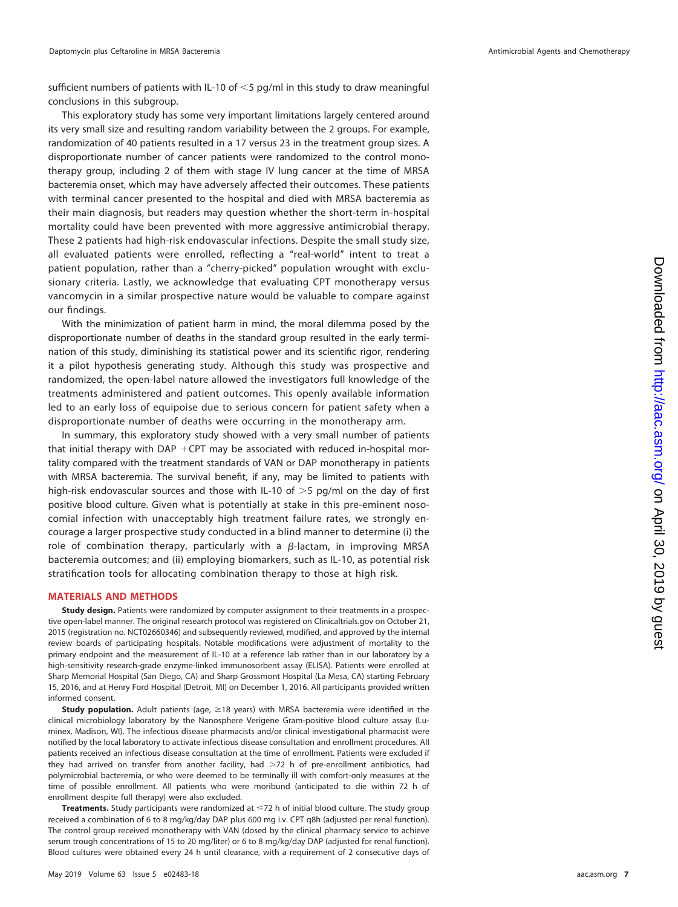sufficient numbers of patients with IL-10 of  $<$ 5 pg/ml in this study to draw meaningful conclusions in this subgroup.

This exploratory study has some very important limitations largely centered around its very small size and resulting random variability between the 2 groups. For example, randomization of 40 patients resulted in a 17 versus 23 in the treatment group sizes. A disproportionate number of cancer patients were randomized to the control monotherapy group, including 2 of them with stage IV lung cancer at the time of MRSA bacteremia onset, which may have adversely affected their outcomes. These patients with terminal cancer presented to the hospital and died with MRSA bacteremia as their main diagnosis, but readers may question whether the short-term in-hospital mortality could have been prevented with more aggressive antimicrobial therapy. These 2 patients had high-risk endovascular infections. Despite the small study size, all evaluated patients were enrolled, reflecting a "real-world" intent to treat a patient population, rather than a "cherry-picked" population wrought with exclusionary criteria. Lastly, we acknowledge that evaluating CPT monotherapy versus vancomycin in a similar prospective nature would be valuable to compare against our findings.

With the minimization of patient harm in mind, the moral dilemma posed by the disproportionate number of deaths in the standard group resulted in the early termination of this study, diminishing its statistical power and its scientific rigor, rendering it a pilot hypothesis generating study. Although this study was prospective and randomized, the open-label nature allowed the investigators full knowledge of the treatments administered and patient outcomes. This openly available information led to an early loss of equipoise due to serious concern for patient safety when a disproportionate number of deaths were occurring in the monotherapy arm.

In summary, this exploratory study showed with a very small number of patients that initial therapy with  $DAP + CPT$  may be associated with reduced in-hospital mortality compared with the treatment standards of VAN or DAP monotherapy in patients with MRSA bacteremia. The survival benefit, if any, may be limited to patients with high-risk endovascular sources and those with IL-10 of  $>5$  pg/ml on the day of first positive blood culture. Given what is potentially at stake in this pre-eminent nosocomial infection with unacceptably high treatment failure rates, we strongly encourage a larger prospective study conducted in a blind manner to determine (i) the role of combination therapy, particularly with a  $\beta$ -lactam, in improving MRSA bacteremia outcomes; and (ii) employing biomarkers, such as IL-10, as potential risk stratification tools for allocating combination therapy to those at high risk.

## **MATERIALS AND METHODS**

**Study design.** Patients were randomized by computer assignment to their treatments in a prospective open-label manner. The original research protocol was registered on Clinicaltrials.gov on October 21, 2015 (registration no. NCT02660346) and subsequently reviewed, modified, and approved by the internal review boards of participating hospitals. Notable modifications were adjustment of mortality to the primary endpoint and the measurement of IL-10 at a reference lab rather than in our laboratory by a high-sensitivity research-grade enzyme-linked immunosorbent assay (ELISA). Patients were enrolled at Sharp Memorial Hospital (San Diego, CA) and Sharp Grossmont Hospital (La Mesa, CA) starting February 15, 2016, and at Henry Ford Hospital (Detroit, MI) on December 1, 2016. All participants provided written informed consent.

**Study population.** Adult patients (age, ≥18 years) with MRSA bacteremia were identified in the clinical microbiology laboratory by the Nanosphere Verigene Gram-positive blood culture assay (Luminex, Madison, WI). The infectious disease pharmacists and/or clinical investigational pharmacist were notified by the local laboratory to activate infectious disease consultation and enrollment procedures. All patients received an infectious disease consultation at the time of enrollment. Patients were excluded if they had arrived on transfer from another facility, had  $>72$  h of pre-enrollment antibiotics, had polymicrobial bacteremia, or who were deemed to be terminally ill with comfort-only measures at the time of possible enrollment. All patients who were moribund (anticipated to die within 72 h of enrollment despite full therapy) were also excluded.

Treatments. Study participants were randomized at  $\leq$ 72 h of initial blood culture. The study group received a combination of 6 to 8 mg/kg/day DAP plus 600 mg i.v. CPT q8h (adjusted per renal function). The control group received monotherapy with VAN (dosed by the clinical pharmacy service to achieve serum trough concentrations of 15 to 20 mg/liter) or 6 to 8 mg/kg/day DAP (adjusted for renal function). Blood cultures were obtained every 24 h until clearance, with a requirement of 2 consecutive days of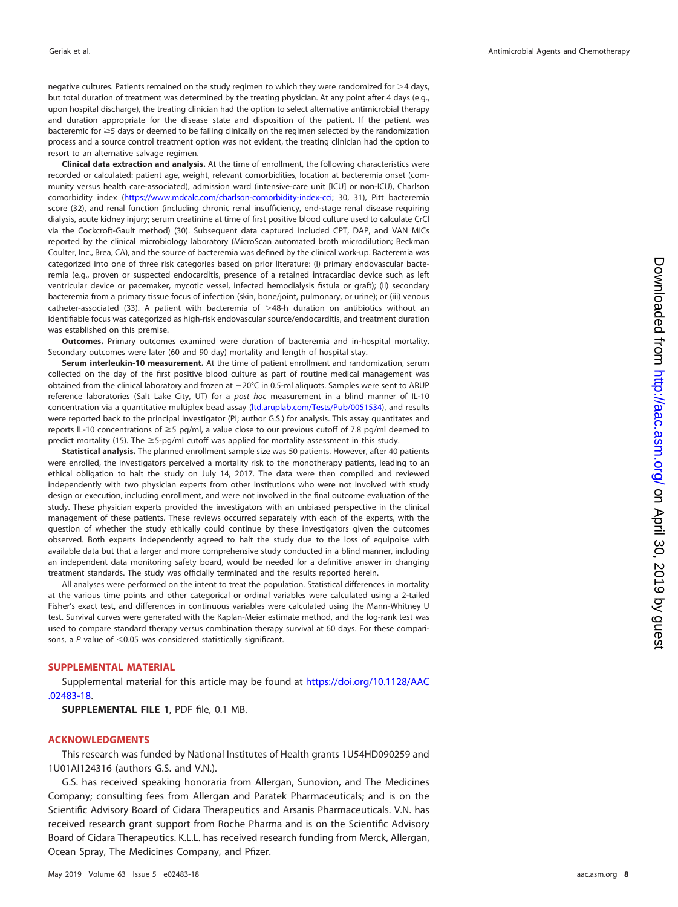negative cultures. Patients remained on the study regimen to which they were randomized for  $>4$  days, but total duration of treatment was determined by the treating physician. At any point after 4 days (e.g., upon hospital discharge), the treating clinician had the option to select alternative antimicrobial therapy and duration appropriate for the disease state and disposition of the patient. If the patient was bacteremic for  $\geq$  5 days or deemed to be failing clinically on the regimen selected by the randomization process and a source control treatment option was not evident, the treating clinician had the option to resort to an alternative salvage regimen.

**Clinical data extraction and analysis.** At the time of enrollment, the following characteristics were recorded or calculated: patient age, weight, relevant comorbidities, location at bacteremia onset (community versus health care-associated), admission ward (intensive-care unit [ICU] or non-ICU), Charlson comorbidity index [\(https://www.mdcalc.com/charlson-comorbidity-index-cci;](https://www.mdcalc.com/charlson-comorbidity-index-cci) [30,](#page-9-2) [31\)](#page-9-3), Pitt bacteremia score [\(32\)](#page-9-4), and renal function (including chronic renal insufficiency, end-stage renal disease requiring dialysis, acute kidney injury; serum creatinine at time of first positive blood culture used to calculate CrCl via the Cockcroft-Gault method) [\(30\)](#page-9-2). Subsequent data captured included CPT, DAP, and VAN MICs reported by the clinical microbiology laboratory (MicroScan automated broth microdilution; Beckman Coulter, Inc., Brea, CA), and the source of bacteremia was defined by the clinical work-up. Bacteremia was categorized into one of three risk categories based on prior literature: (i) primary endovascular bacteremia (e.g., proven or suspected endocarditis, presence of a retained intracardiac device such as left ventricular device or pacemaker, mycotic vessel, infected hemodialysis fistula or graft); (ii) secondary bacteremia from a primary tissue focus of infection (skin, bone/joint, pulmonary, or urine); or (iii) venous catheter-associated [\(33\)](#page-9-5). A patient with bacteremia of  $>48$ -h duration on antibiotics without an identifiable focus was categorized as high-risk endovascular source/endocarditis, and treatment duration was established on this premise.

**Outcomes.** Primary outcomes examined were duration of bacteremia and in-hospital mortality. Secondary outcomes were later (60 and 90 day) mortality and length of hospital stay.

**Serum interleukin-10 measurement.** At the time of patient enrollment and randomization, serum collected on the day of the first positive blood culture as part of routine medical management was obtained from the clinical laboratory and frozen at  $-20^{\circ}$ C in 0.5-ml aliquots. Samples were sent to ARUP reference laboratories (Salt Lake City, UT) for a post hoc measurement in a blind manner of IL-10 concentration via a quantitative multiplex bead assay [\(ltd.aruplab.com/Tests/Pub/0051534\)](http://ltd.aruplab.com/Tests/Pub/0051534), and results were reported back to the principal investigator (PI; author G.S.) for analysis. This assay quantitates and reports IL-10 concentrations of  $\geq$ 5 pg/ml, a value close to our previous cutoff of 7.8 pg/ml deemed to predict mortality [\(15\)](#page-8-14). The  $\geq$ 5-pg/ml cutoff was applied for mortality assessment in this study.

**Statistical analysis.** The planned enrollment sample size was 50 patients. However, after 40 patients were enrolled, the investigators perceived a mortality risk to the monotherapy patients, leading to an ethical obligation to halt the study on July 14, 2017. The data were then compiled and reviewed independently with two physician experts from other institutions who were not involved with study design or execution, including enrollment, and were not involved in the final outcome evaluation of the study. These physician experts provided the investigators with an unbiased perspective in the clinical management of these patients. These reviews occurred separately with each of the experts, with the question of whether the study ethically could continue by these investigators given the outcomes observed. Both experts independently agreed to halt the study due to the loss of equipoise with available data but that a larger and more comprehensive study conducted in a blind manner, including an independent data monitoring safety board, would be needed for a definitive answer in changing treatment standards. The study was officially terminated and the results reported herein.

All analyses were performed on the intent to treat the population. Statistical differences in mortality at the various time points and other categorical or ordinal variables were calculated using a 2-tailed Fisher's exact test, and differences in continuous variables were calculated using the Mann-Whitney U test. Survival curves were generated with the Kaplan-Meier estimate method, and the log-rank test was used to compare standard therapy versus combination therapy survival at 60 days. For these comparisons, a  $P$  value of  $\leq$  0.05 was considered statistically significant.

## **SUPPLEMENTAL MATERIAL**

Supplemental material for this article may be found at [https://doi.org/10.1128/AAC](https://doi.org/10.1128/AAC.02483-18) [.02483-18.](https://doi.org/10.1128/AAC.02483-18)

**SUPPLEMENTAL FILE 1**, PDF file, 0.1 MB.

## **ACKNOWLEDGMENTS**

This research was funded by National Institutes of Health grants 1U54HD090259 and 1U01AI124316 (authors G.S. and V.N.).

G.S. has received speaking honoraria from Allergan, Sunovion, and The Medicines Company; consulting fees from Allergan and Paratek Pharmaceuticals; and is on the Scientific Advisory Board of Cidara Therapeutics and Arsanis Pharmaceuticals. V.N. has received research grant support from Roche Pharma and is on the Scientific Advisory Board of Cidara Therapeutics. K.L.L. has received research funding from Merck, Allergan, Ocean Spray, The Medicines Company, and Pfizer.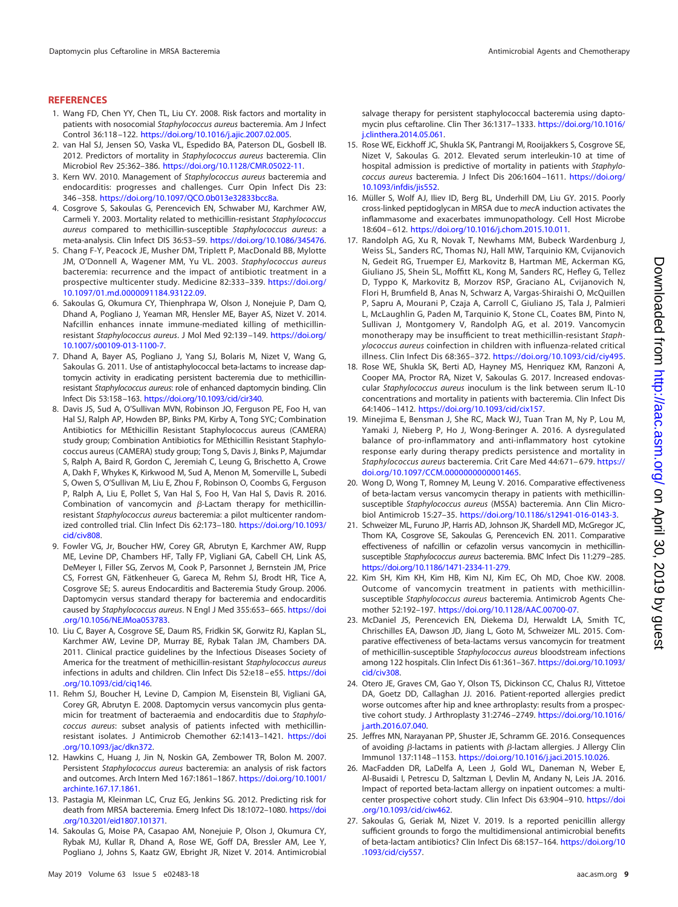## <span id="page-8-0"></span>**REFERENCES**

- 1. Wang FD, Chen YY, Chen TL, Liu CY. 2008. Risk factors and mortality in patients with nosocomial Staphylococcus aureus bacteremia. Am J Infect Control 36:118 –122. [https://doi.org/10.1016/j.ajic.2007.02.005.](https://doi.org/10.1016/j.ajic.2007.02.005)
- <span id="page-8-1"></span>2. van Hal SJ, Jensen SO, Vaska VL, Espedido BA, Paterson DL, Gosbell IB. 2012. Predictors of mortality in Staphylococcus aureus bacteremia. Clin Microbiol Rev 25:362–386. [https://doi.org/10.1128/CMR.05022-11.](https://doi.org/10.1128/CMR.05022-11)
- <span id="page-8-2"></span>3. Kern WV. 2010. Management of Staphylococcus aureus bacteremia and endocarditis: progresses and challenges. Curr Opin Infect Dis 23: 346 –358. [https://doi.org/10.1097/QCO.0b013e32833bcc8a.](https://doi.org/10.1097/QCO.0b013e32833bcc8a)
- <span id="page-8-3"></span>4. Cosgrove S, Sakoulas G, Perencevich EN, Schwaber MJ, Karchmer AW, Carmeli Y. 2003. Mortality related to methicillin-resistant Staphylococcus aureus compared to methicillin-susceptible Staphylococcus aureus: a meta-analysis. Clin Infect DIS 36:53–59. [https://doi.org/10.1086/345476.](https://doi.org/10.1086/345476)
- <span id="page-8-4"></span>5. Chang F-Y, Peacock JE, Musher DM, Triplett P, MacDonald BB, Mylotte JM, O'Donnell A, Wagener MM, Yu VL. 2003. Staphylococcus aureus bacteremia: recurrence and the impact of antibiotic treatment in a prospective multicenter study. Medicine 82:333–339. [https://doi.org/](https://doi.org/10.1097/01.md.0000091184.93122.09) [10.1097/01.md.0000091184.93122.09.](https://doi.org/10.1097/01.md.0000091184.93122.09)
- <span id="page-8-5"></span>6. Sakoulas G, Okumura CY, Thienphrapa W, Olson J, Nonejuie P, Dam Q, Dhand A, Pogliano J, Yeaman MR, Hensler ME, Bayer AS, Nizet V. 2014. Nafcillin enhances innate immune-mediated killing of methicillinresistant Staphylococcus aureus. J Mol Med 92:139-149. [https://doi.org/](https://doi.org/10.1007/s00109-013-1100-7) [10.1007/s00109-013-1100-7.](https://doi.org/10.1007/s00109-013-1100-7)
- <span id="page-8-6"></span>7. Dhand A, Bayer AS, Pogliano J, Yang SJ, Bolaris M, Nizet V, Wang G, Sakoulas G. 2011. Use of antistaphylococcal beta-lactams to increase daptomycin activity in eradicating persistent bacteremia due to methicillinresistant Staphylococcus aureus: role of enhanced daptomycin binding. Clin Infect Dis 53:158 –163. [https://doi.org/10.1093/cid/cir340.](https://doi.org/10.1093/cid/cir340)
- <span id="page-8-7"></span>8. Davis JS, Sud A, O'Sullivan MVN, Robinson JO, Ferguson PE, Foo H, van Hal SJ, Ralph AP, Howden BP, Binks PM, Kirby A, Tong SYC; Combination Antibiotics for MEthicillin Resistant Staphylococcus aureus (CAMERA) study group; Combination Antibiotics for MEthicillin Resistant Staphylococcus aureus (CAMERA) study group; Tong S, Davis J, Binks P, Majumdar S, Ralph A, Baird R, Gordon C, Jeremiah C, Leung G, Brischetto A, Crowe A, Dakh F, Whykes K, Kirkwood M, Sud A, Menon M, Somerville L, Subedi S, Owen S, O'Sullivan M, Liu E, Zhou F, Robinson O, Coombs G, Ferguson P, Ralph A, Liu E, Pollet S, Van Hal S, Foo H, Van Hal S, Davis R. 2016. Combination of vancomycin and  $\beta$ -Lactam therapy for methicillinresistant Staphylococcus aureus bacteremia: a pilot multicenter randomized controlled trial. Clin Infect Dis 62:173–180. [https://doi.org/10.1093/](https://doi.org/10.1093/cid/civ808) [cid/civ808.](https://doi.org/10.1093/cid/civ808)
- <span id="page-8-8"></span>9. Fowler VG, Jr, Boucher HW, Corey GR, Abrutyn E, Karchmer AW, Rupp ME, Levine DP, Chambers HF, Tally FP, Vigliani GA, Cabell CH, Link AS, DeMeyer I, Filler SG, Zervos M, Cook P, Parsonnet J, Bernstein JM, Price CS, Forrest GN, Fätkenheuer G, Gareca M, Rehm SJ, Brodt HR, Tice A, Cosgrove SE; S. aureus Endocarditis and Bacteremia Study Group. 2006. Daptomycin versus standard therapy for bacteremia and endocarditis caused by Staphylococcus aureus. N Engl J Med 355:653– 665. [https://doi](https://doi.org/10.1056/NEJMoa053783) [.org/10.1056/NEJMoa053783.](https://doi.org/10.1056/NEJMoa053783)
- <span id="page-8-9"></span>10. Liu C, Bayer A, Cosgrove SE, Daum RS, Fridkin SK, Gorwitz RJ, Kaplan SL, Karchmer AW, Levine DP, Murray BE, Rybak Talan JM, Chambers DA. 2011. Clinical practice guidelines by the Infectious Diseases Society of America for the treatment of methicillin-resistant Staphylococcus aureus infections in adults and children. Clin Infect Dis 52:e18 – e55. [https://doi](https://doi.org/10.1093/cid/ciq146) [.org/10.1093/cid/ciq146.](https://doi.org/10.1093/cid/ciq146)
- <span id="page-8-10"></span>11. Rehm SJ, Boucher H, Levine D, Campion M, Eisenstein BI, Vigliani GA, Corey GR, Abrutyn E. 2008. Daptomycin versus vancomycin plus gentamicin for treatment of bacteraemia and endocarditis due to Staphylococcus aureus: subset analysis of patients infected with methicillinresistant isolates. J Antimicrob Chemother 62:1413–1421. [https://doi](https://doi.org/10.1093/jac/dkn372) [.org/10.1093/jac/dkn372.](https://doi.org/10.1093/jac/dkn372)
- <span id="page-8-11"></span>12. Hawkins C, Huang J, Jin N, Noskin GA, Zembower TR, Bolon M. 2007. Persistent Staphylococcus aureus bacteremia: an analysis of risk factors and outcomes. Arch Intern Med 167:1861–1867. [https://doi.org/10.1001/](https://doi.org/10.1001/archinte.167.17.1861) [archinte.167.17.1861.](https://doi.org/10.1001/archinte.167.17.1861)
- <span id="page-8-13"></span><span id="page-8-12"></span>13. Pastagia M, Kleinman LC, Cruz EG, Jenkins SG. 2012. Predicting risk for death from MRSA bacteremia. Emerg Infect Dis 18:1072-1080. [https://doi](https://doi.org/10.3201/eid1807.101371) [.org/10.3201/eid1807.101371.](https://doi.org/10.3201/eid1807.101371)
- 14. Sakoulas G, Moise PA, Casapao AM, Nonejuie P, Olson J, Okumura CY, Rybak MJ, Kullar R, Dhand A, Rose WE, Goff DA, Bressler AM, Lee Y, Pogliano J, Johns S, Kaatz GW, Ebright JR, Nizet V. 2014. Antimicrobial

salvage therapy for persistent staphylococcal bacteremia using daptomycin plus ceftaroline. Clin Ther 36:1317–1333. [https://doi.org/10.1016/](https://doi.org/10.1016/j.clinthera.2014.05.061) [j.clinthera.2014.05.061.](https://doi.org/10.1016/j.clinthera.2014.05.061)

- <span id="page-8-14"></span>15. Rose WE, Eickhoff JC, Shukla SK, Pantrangi M, Rooijakkers S, Cosgrove SE, Nizet V, Sakoulas G. 2012. Elevated serum interleukin-10 at time of hospital admission is predictive of mortality in patients with Staphylococcus aureus bacteremia. J Infect Dis 206:1604 –1611. [https://doi.org/](https://doi.org/10.1093/infdis/jis552) [10.1093/infdis/jis552.](https://doi.org/10.1093/infdis/jis552)
- <span id="page-8-15"></span>16. Müller S, Wolf AJ, Iliev ID, Berg BL, Underhill DM, Liu GY. 2015. Poorly cross-linked peptidoglycan in MRSA due to mecA induction activates the inflammasome and exacerbates immunopathology. Cell Host Microbe 18:604 – 612. [https://doi.org/10.1016/j.chom.2015.10.011.](https://doi.org/10.1016/j.chom.2015.10.011)
- <span id="page-8-16"></span>17. Randolph AG, Xu R, Novak T, Newhams MM, Bubeck Wardenburg J, Weiss SL, Sanders RC, Thomas NJ, Hall MW, Tarquinio KM, Cvijanovich N, Gedeit RG, Truemper EJ, Markovitz B, Hartman ME, Ackerman KG, Giuliano JS, Shein SL, Moffitt KL, Kong M, Sanders RC, Hefley G, Tellez D, Typpo K, Markovitz B, Morzov RSP, Graciano AL, Cvijanovich N, Flori H, Brumfield B, Anas N, Schwarz A, Vargas-Shiraishi O, McQuillen P, Sapru A, Mourani P, Czaja A, Carroll C, Giuliano JS, Tala J, Palmieri L, McLaughlin G, Paden M, Tarquinio K, Stone CL, Coates BM, Pinto N, Sullivan J, Montgomery V, Randolph AG, et al. 2019. Vancomycin monotherapy may be insufficient to treat methicillin-resistant Staphylococcus aureus coinfection in children with influenza-related critical illness. Clin Infect Dis 68:365–372. [https://doi.org/10.1093/cid/ciy495.](https://doi.org/10.1093/cid/ciy495)
- <span id="page-8-17"></span>18. Rose WE, Shukla SK, Berti AD, Hayney MS, Henriquez KM, Ranzoni A, Cooper MA, Proctor RA, Nizet V, Sakoulas G. 2017. Increased endovascular Staphylococcus aureus inoculum is the link between serum IL-10 concentrations and mortality in patients with bacteremia. Clin Infect Dis 64:1406 –1412. [https://doi.org/10.1093/cid/cix157.](https://doi.org/10.1093/cid/cix157)
- <span id="page-8-18"></span>19. Minejima E, Bensman J, She RC, Mack WJ, Tuan Tran M, Ny P, Lou M, Yamaki J, Nieberg P, Ho J, Wong-Beringer A. 2016. A dysregulated balance of pro-inflammatory and anti-inflammatory host cytokine response early during therapy predicts persistence and mortality in Staphylococcus aureus bacteremia. Crit Care Med 44:671-679. [https://](https://doi.org/10.1097/CCM.0000000000001465) [doi.org/10.1097/CCM.0000000000001465.](https://doi.org/10.1097/CCM.0000000000001465)
- <span id="page-8-19"></span>20. Wong D, Wong T, Romney M, Leung V. 2016. Comparative effectiveness of beta-lactam versus vancomycin therapy in patients with methicillinsusceptible Staphylococcus aureus (MSSA) bacteremia. Ann Clin Microbiol Antimicrob 15:27–35. [https://doi.org/10.1186/s12941-016-0143-3.](https://doi.org/10.1186/s12941-016-0143-3)
- 21. Schweizer ML, Furuno JP, Harris AD, Johnson JK, Shardell MD, McGregor JC, Thom KA, Cosgrove SE, Sakoulas G, Perencevich EN. 2011. Comparative effectiveness of nafcillin or cefazolin versus vancomycin in methicillinsusceptible Staphylococcus aureus bacteremia. BMC Infect Dis 11:279 –285. [https://doi.org/10.1186/1471-2334-11-279.](https://doi.org/10.1186/1471-2334-11-279)
- <span id="page-8-20"></span>22. Kim SH, Kim KH, Kim HB, Kim NJ, Kim EC, Oh MD, Choe KW. 2008. Outcome of vancomycin treatment in patients with methicillinsusceptible Staphylococcus aureus bacteremia. Antimicrob Agents Chemother 52:192–197. [https://doi.org/10.1128/AAC.00700-07.](https://doi.org/10.1128/AAC.00700-07)
- <span id="page-8-21"></span>23. McDaniel JS, Perencevich EN, Diekema DJ, Herwaldt LA, Smith TC, Chrischilles EA, Dawson JD, Jiang L, Goto M, Schweizer ML. 2015. Comparative effectiveness of beta-lactams versus vancomycin for treatment of methicillin-susceptible Staphylococcus aureus bloodstream infections among 122 hospitals. Clin Infect Dis 61:361–367. [https://doi.org/10.1093/](https://doi.org/10.1093/cid/civ308) [cid/civ308.](https://doi.org/10.1093/cid/civ308)
- <span id="page-8-22"></span>24. Otero JE, Graves CM, Gao Y, Olson TS, Dickinson CC, Chalus RJ, Vittetoe DA, Goetz DD, Callaghan JJ. 2016. Patient-reported allergies predict worse outcomes after hip and knee arthroplasty: results from a prospective cohort study. J Arthroplasty 31:2746 –2749. [https://doi.org/10.1016/](https://doi.org/10.1016/j.arth.2016.07.040) [j.arth.2016.07.040.](https://doi.org/10.1016/j.arth.2016.07.040)
- <span id="page-8-23"></span>25. Jeffres MN, Narayanan PP, Shuster JE, Schramm GE. 2016. Consequences of avoiding  $\beta$ -lactams in patients with  $\beta$ -lactam allergies. J Allergy Clin Immunol 137:1148 –1153. [https://doi.org/10.1016/j.jaci.2015.10.026.](https://doi.org/10.1016/j.jaci.2015.10.026)
- 26. MacFadden DR, LaDelfa A, Leen J, Gold WL, Daneman N, Weber E, Al-Busaidi I, Petrescu D, Saltzman I, Devlin M, Andany N, Leis JA. 2016. Impact of reported beta-lactam allergy on inpatient outcomes: a multicenter prospective cohort study. Clin Infect Dis 63:904 –910. [https://doi](https://doi.org/10.1093/cid/ciw462) [.org/10.1093/cid/ciw462.](https://doi.org/10.1093/cid/ciw462)
- <span id="page-8-24"></span>27. Sakoulas G, Geriak M, Nizet V. 2019. Is a reported penicillin allergy sufficient grounds to forgo the multidimensional antimicrobial benefits of beta-lactam antibiotics? Clin Infect Dis 68:157–164. [https://doi.org/10](https://doi.org/10.1093/cid/ciy557) [.1093/cid/ciy557.](https://doi.org/10.1093/cid/ciy557)